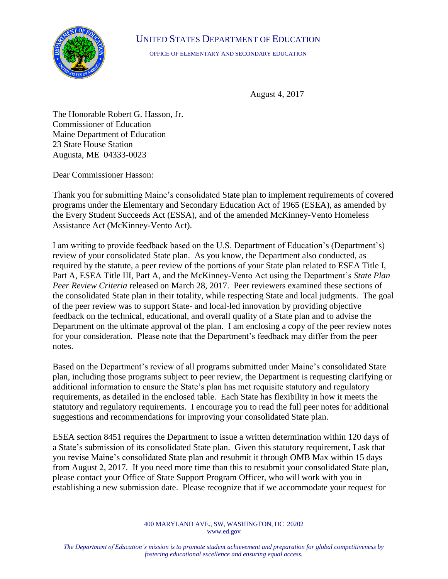

UNITED STATES DEPARTMENT OF EDUCATION

OFFICE OF ELEMENTARY AND SECONDARY EDUCATION

August 4, 2017

The Honorable Robert G. Hasson, Jr. Commissioner of Education Maine Department of Education 23 State House Station Augusta, ME 04333-0023

Dear Commissioner Hasson:

Thank you for submitting Maine's consolidated State plan to implement requirements of covered programs under the Elementary and Secondary Education Act of 1965 (ESEA), as amended by the Every Student Succeeds Act (ESSA), and of the amended McKinney-Vento Homeless Assistance Act (McKinney-Vento Act).

I am writing to provide feedback based on the U.S. Department of Education's (Department's) review of your consolidated State plan. As you know, the Department also conducted, as required by the statute, a peer review of the portions of your State plan related to ESEA Title I, Part A, ESEA Title III, Part A, and the McKinney-Vento Act using the Department's *State Plan Peer Review Criteria* released on March 28, 2017. Peer reviewers examined these sections of the consolidated State plan in their totality, while respecting State and local judgments. The goal of the peer review was to support State- and local-led innovation by providing objective feedback on the technical, educational, and overall quality of a State plan and to advise the Department on the ultimate approval of the plan. I am enclosing a copy of the peer review notes for your consideration. Please note that the Department's feedback may differ from the peer notes.

Based on the Department's review of all programs submitted under Maine's consolidated State plan, including those programs subject to peer review, the Department is requesting clarifying or additional information to ensure the State's plan has met requisite statutory and regulatory requirements, as detailed in the enclosed table. Each State has flexibility in how it meets the statutory and regulatory requirements. I encourage you to read the full peer notes for additional suggestions and recommendations for improving your consolidated State plan.

ESEA section 8451 requires the Department to issue a written determination within 120 days of a State's submission of its consolidated State plan. Given this statutory requirement, I ask that you revise Maine's consolidated State plan and resubmit it through OMB Max within 15 days from August 2, 2017. If you need more time than this to resubmit your consolidated State plan, please contact your Office of State Support Program Officer, who will work with you in establishing a new submission date. Please recognize that if we accommodate your request for

> 400 MARYLAND AVE., SW, WASHINGTON, DC 20202 www.ed.gov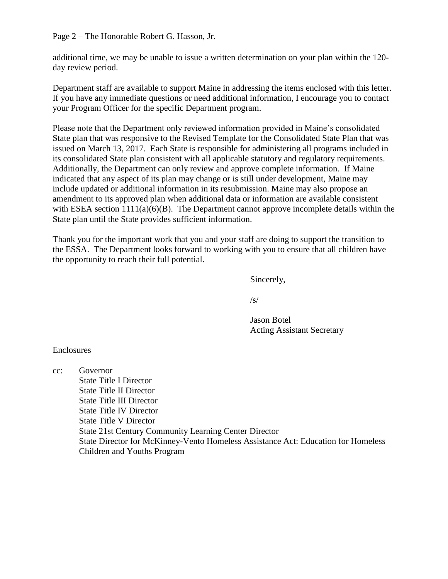Page 2 – The Honorable Robert G. Hasson, Jr.

additional time, we may be unable to issue a written determination on your plan within the 120 day review period.

Department staff are available to support Maine in addressing the items enclosed with this letter. If you have any immediate questions or need additional information, I encourage you to contact your Program Officer for the specific Department program.

Please note that the Department only reviewed information provided in Maine's consolidated State plan that was responsive to the Revised Template for the Consolidated State Plan that was issued on March 13, 2017. Each State is responsible for administering all programs included in its consolidated State plan consistent with all applicable statutory and regulatory requirements. Additionally, the Department can only review and approve complete information. If Maine indicated that any aspect of its plan may change or is still under development, Maine may include updated or additional information in its resubmission. Maine may also propose an amendment to its approved plan when additional data or information are available consistent with ESEA section  $1111(a)(6)(B)$ . The Department cannot approve incomplete details within the State plan until the State provides sufficient information.

Thank you for the important work that you and your staff are doing to support the transition to the ESSA. The Department looks forward to working with you to ensure that all children have the opportunity to reach their full potential.

Sincerely,

 $\sqrt{s}$ 

Jason Botel Acting Assistant Secretary

Enclosures

cc: Governor State Title I Director State Title II Director State Title III Director State Title IV Director State Title V Director State 21st Century Community Learning Center Director State Director for McKinney-Vento Homeless Assistance Act: Education for Homeless Children and Youths Program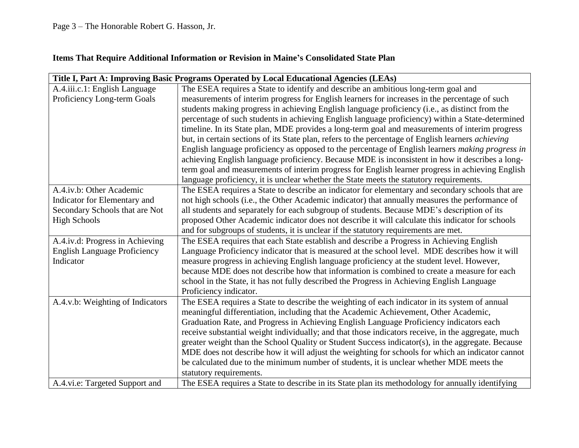## **Items That Require Additional Information or Revision in Maine's Consolidated State Plan**

| Title I, Part A: Improving Basic Programs Operated by Local Educational Agencies (LEAs) |                                                                                                           |  |
|-----------------------------------------------------------------------------------------|-----------------------------------------------------------------------------------------------------------|--|
| A.4.iii.c.1: English Language                                                           | The ESEA requires a State to identify and describe an ambitious long-term goal and                        |  |
| Proficiency Long-term Goals                                                             | measurements of interim progress for English learners for increases in the percentage of such             |  |
|                                                                                         | students making progress in achieving English language proficiency (i.e., as distinct from the            |  |
|                                                                                         | percentage of such students in achieving English language proficiency) within a State-determined          |  |
|                                                                                         | timeline. In its State plan, MDE provides a long-term goal and measurements of interim progress           |  |
|                                                                                         | but, in certain sections of its State plan, refers to the percentage of English learners <i>achieving</i> |  |
|                                                                                         | English language proficiency as opposed to the percentage of English learners making progress in          |  |
|                                                                                         | achieving English language proficiency. Because MDE is inconsistent in how it describes a long-           |  |
|                                                                                         | term goal and measurements of interim progress for English learner progress in achieving English          |  |
|                                                                                         | language proficiency, it is unclear whether the State meets the statutory requirements.                   |  |
| A.4.iv.b: Other Academic                                                                | The ESEA requires a State to describe an indicator for elementary and secondary schools that are          |  |
| Indicator for Elementary and                                                            | not high schools (i.e., the Other Academic indicator) that annually measures the performance of           |  |
| Secondary Schools that are Not                                                          | all students and separately for each subgroup of students. Because MDE's description of its               |  |
| <b>High Schools</b>                                                                     | proposed Other Academic indicator does not describe it will calculate this indicator for schools          |  |
|                                                                                         | and for subgroups of students, it is unclear if the statutory requirements are met.                       |  |
| A.4.iv.d: Progress in Achieving                                                         | The ESEA requires that each State establish and describe a Progress in Achieving English                  |  |
| <b>English Language Proficiency</b>                                                     | Language Proficiency indicator that is measured at the school level. MDE describes how it will            |  |
| Indicator                                                                               | measure progress in achieving English language proficiency at the student level. However,                 |  |
|                                                                                         | because MDE does not describe how that information is combined to create a measure for each               |  |
|                                                                                         | school in the State, it has not fully described the Progress in Achieving English Language                |  |
|                                                                                         | Proficiency indicator.                                                                                    |  |
| A.4.v.b: Weighting of Indicators                                                        | The ESEA requires a State to describe the weighting of each indicator in its system of annual             |  |
|                                                                                         | meaningful differentiation, including that the Academic Achievement, Other Academic,                      |  |
|                                                                                         | Graduation Rate, and Progress in Achieving English Language Proficiency indicators each                   |  |
|                                                                                         | receive substantial weight individually; and that those indicators receive, in the aggregate, much        |  |
|                                                                                         | greater weight than the School Quality or Student Success indicator(s), in the aggregate. Because         |  |
|                                                                                         | MDE does not describe how it will adjust the weighting for schools for which an indicator cannot          |  |
|                                                                                         | be calculated due to the minimum number of students, it is unclear whether MDE meets the                  |  |
|                                                                                         | statutory requirements.                                                                                   |  |
| A.4.vi.e: Targeted Support and                                                          | The ESEA requires a State to describe in its State plan its methodology for annually identifying          |  |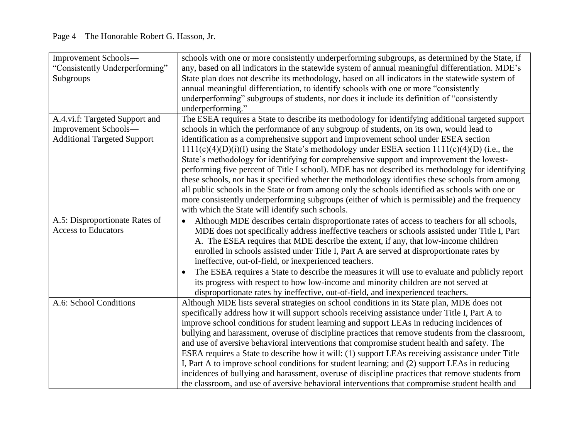| Improvement Schools-<br>"Consistently Underperforming"<br>Subgroups                          | schools with one or more consistently underperforming subgroups, as determined by the State, if<br>any, based on all indicators in the statewide system of annual meaningful differentiation. MDE's<br>State plan does not describe its methodology, based on all indicators in the statewide system of<br>annual meaningful differentiation, to identify schools with one or more "consistently<br>underperforming" subgroups of students, nor does it include its definition of "consistently"<br>underperforming."                                                                                                                                                                                                                                                                                                                                                                                    |
|----------------------------------------------------------------------------------------------|----------------------------------------------------------------------------------------------------------------------------------------------------------------------------------------------------------------------------------------------------------------------------------------------------------------------------------------------------------------------------------------------------------------------------------------------------------------------------------------------------------------------------------------------------------------------------------------------------------------------------------------------------------------------------------------------------------------------------------------------------------------------------------------------------------------------------------------------------------------------------------------------------------|
| A.4.vi.f: Targeted Support and<br>Improvement Schools-<br><b>Additional Targeted Support</b> | The ESEA requires a State to describe its methodology for identifying additional targeted support<br>schools in which the performance of any subgroup of students, on its own, would lead to<br>identification as a comprehensive support and improvement school under ESEA section<br>$1111(c)(4)(D)(i)(I)$ using the State's methodology under ESEA section $1111(c)(4)(D)$ (i.e., the<br>State's methodology for identifying for comprehensive support and improvement the lowest-<br>performing five percent of Title I school). MDE has not described its methodology for identifying<br>these schools, nor has it specified whether the methodology identifies these schools from among<br>all public schools in the State or from among only the schools identified as schools with one or<br>more consistently underperforming subgroups (either of which is permissible) and the frequency      |
| A.5: Disproportionate Rates of<br><b>Access to Educators</b>                                 | with which the State will identify such schools.<br>Although MDE describes certain disproportionate rates of access to teachers for all schools,<br>$\bullet$<br>MDE does not specifically address ineffective teachers or schools assisted under Title I, Part<br>A. The ESEA requires that MDE describe the extent, if any, that low-income children<br>enrolled in schools assisted under Title I, Part A are served at disproportionate rates by<br>ineffective, out-of-field, or inexperienced teachers.<br>The ESEA requires a State to describe the measures it will use to evaluate and publicly report<br>its progress with respect to how low-income and minority children are not served at<br>disproportionate rates by ineffective, out-of-field, and inexperienced teachers.                                                                                                               |
| A.6: School Conditions                                                                       | Although MDE lists several strategies on school conditions in its State plan, MDE does not<br>specifically address how it will support schools receiving assistance under Title I, Part A to<br>improve school conditions for student learning and support LEAs in reducing incidences of<br>bullying and harassment, overuse of discipline practices that remove students from the classroom,<br>and use of aversive behavioral interventions that compromise student health and safety. The<br>ESEA requires a State to describe how it will: (1) support LEAs receiving assistance under Title<br>I, Part A to improve school conditions for student learning; and (2) support LEAs in reducing<br>incidences of bullying and harassment, overuse of discipline practices that remove students from<br>the classroom, and use of aversive behavioral interventions that compromise student health and |